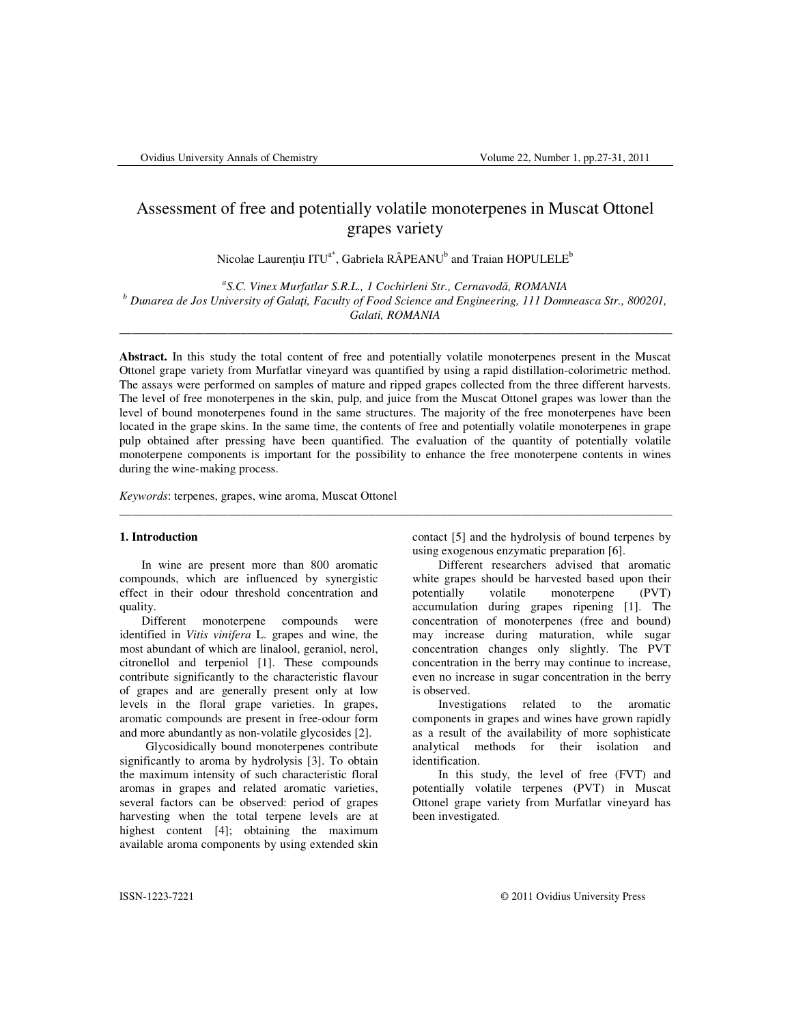# Assessment of free and potentially volatile monoterpenes in Muscat Ottonel grapes variety

Nicolae Laurențiu ITU<sup>a\*</sup>, Gabriela RÂPEANU<sup>b</sup> and Traian HOPULELE<sup>b</sup>

*a S.C. Vinex Murfatlar S.R.L., 1 Cochirleni Str., Cernavod*ă*, ROMANIA b Dunarea de Jos University of Gala*ţ*i, Faculty of Food Science and Engineering, 111 Domneasca Str., 800201, Galati, ROMANIA* 

\_\_\_\_\_\_\_\_\_\_\_\_\_\_\_\_\_\_\_\_\_\_\_\_\_\_\_\_\_\_\_\_\_\_\_\_\_\_\_\_\_\_\_\_\_\_\_\_\_\_\_\_\_\_\_\_\_\_\_\_\_\_\_\_\_\_\_\_\_\_\_\_\_\_\_\_\_\_\_\_\_\_\_\_\_\_\_\_\_\_\_

**Abstract.** In this study the total content of free and potentially volatile monoterpenes present in the Muscat Ottonel grape variety from Murfatlar vineyard was quantified by using a rapid distillation-colorimetric method. The assays were performed on samples of mature and ripped grapes collected from the three different harvests. The level of free monoterpenes in the skin, pulp, and juice from the Muscat Ottonel grapes was lower than the level of bound monoterpenes found in the same structures. The majority of the free monoterpenes have been located in the grape skins. In the same time, the contents of free and potentially volatile monoterpenes in grape pulp obtained after pressing have been quantified. The evaluation of the quantity of potentially volatile monoterpene components is important for the possibility to enhance the free monoterpene contents in wines during the wine-making process.

\_\_\_\_\_\_\_\_\_\_\_\_\_\_\_\_\_\_\_\_\_\_\_\_\_\_\_\_\_\_\_\_\_\_\_\_\_\_\_\_\_\_\_\_\_\_\_\_\_\_\_\_\_\_\_\_\_\_\_\_\_\_\_\_\_\_\_\_\_\_\_\_\_\_\_\_\_\_\_\_\_\_\_\_\_\_\_\_\_\_\_

*Keywords*: terpenes, grapes, wine aroma, Muscat Ottonel

## **1. Introduction**

 In wine are present more than 800 aromatic compounds, which are influenced by synergistic effect in their odour threshold concentration and quality.

 Different monoterpene compounds were identified in *Vitis vinifera* L. grapes and wine, the most abundant of which are linalool, geraniol, nerol, citronellol and terpeniol [1]. These compounds contribute significantly to the characteristic flavour of grapes and are generally present only at low levels in the floral grape varieties. In grapes, aromatic compounds are present in free-odour form and more abundantly as non-volatile glycosides [2].

 Glycosidically bound monoterpenes contribute significantly to aroma by hydrolysis [3]. To obtain the maximum intensity of such characteristic floral aromas in grapes and related aromatic varieties, several factors can be observed: period of grapes harvesting when the total terpene levels are at highest content [4]; obtaining the maximum available aroma components by using extended skin contact [5] and the hydrolysis of bound terpenes by using exogenous enzymatic preparation [6].

 Different researchers advised that aromatic white grapes should be harvested based upon their potentially volatile monoterpene (PVT) accumulation during grapes ripening [1]. The concentration of monoterpenes (free and bound) may increase during maturation, while sugar concentration changes only slightly. The PVT concentration in the berry may continue to increase, even no increase in sugar concentration in the berry is observed.

Investigations related to the aromatic components in grapes and wines have grown rapidly as a result of the availability of more sophisticate analytical methods for their isolation and identification.

 In this study, the level of free (FVT) and potentially volatile terpenes (PVT) in Muscat Ottonel grape variety from Murfatlar vineyard has been investigated.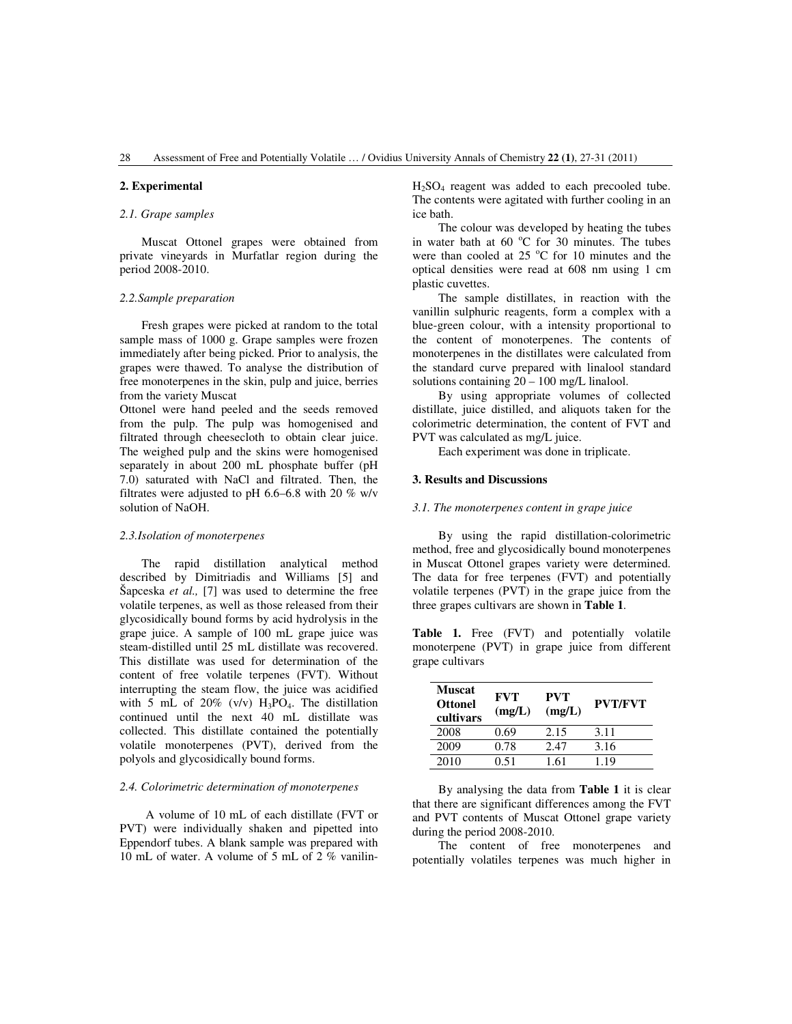## **2. Experimental**

### *2.1. Grape samples*

Muscat Ottonel grapes were obtained from private vineyards in Murfatlar region during the period 2008-2010.

### *2.2.Sample preparation*

 Fresh grapes were picked at random to the total sample mass of 1000 g. Grape samples were frozen immediately after being picked. Prior to analysis, the grapes were thawed. To analyse the distribution of free monoterpenes in the skin, pulp and juice, berries from the variety Muscat

Ottonel were hand peeled and the seeds removed from the pulp. The pulp was homogenised and filtrated through cheesecloth to obtain clear juice. The weighed pulp and the skins were homogenised separately in about 200 mL phosphate buffer (pH 7.0) saturated with NaCl and filtrated. Then, the filtrates were adjusted to pH 6.6–6.8 with 20 % w/v solution of NaOH.

### *2.3.Isolation of monoterpenes*

The rapid distillation analytical method described by Dimitriadis and Williams [5] and Šapceska *et al.,* [7] was used to determine the free volatile terpenes, as well as those released from their glycosidically bound forms by acid hydrolysis in the grape juice. A sample of 100 mL grape juice was steam-distilled until 25 mL distillate was recovered. This distillate was used for determination of the content of free volatile terpenes (FVT). Without interrupting the steam flow, the juice was acidified with 5 mL of 20% (v/v)  $H_3PO_4$ . The distillation continued until the next 40 mL distillate was collected. This distillate contained the potentially volatile monoterpenes (PVT), derived from the polyols and glycosidically bound forms.

### *2.4. Colorimetric determination of monoterpenes*

A volume of 10 mL of each distillate (FVT or PVT) were individually shaken and pipetted into Eppendorf tubes. A blank sample was prepared with 10 mL of water. A volume of 5 mL of 2 % vanilinH2SO4 reagent was added to each precooled tube. The contents were agitated with further cooling in an ice bath.

 The colour was developed by heating the tubes in water bath at  $60^{\circ}$ C for 30 minutes. The tubes were than cooled at  $25^{\circ}$ C for 10 minutes and the optical densities were read at 608 nm using 1 cm plastic cuvettes.

 The sample distillates, in reaction with the vanillin sulphuric reagents, form a complex with a blue-green colour, with a intensity proportional to the content of monoterpenes. The contents of monoterpenes in the distillates were calculated from the standard curve prepared with linalool standard solutions containing 20 – 100 mg/L linalool.

 By using appropriate volumes of collected distillate, juice distilled, and aliquots taken for the colorimetric determination, the content of FVT and PVT was calculated as mg/L juice.

Each experiment was done in triplicate.

#### **3. Results and Discussions**

#### *3.1. The monoterpenes content in grape juice*

 By using the rapid distillation-colorimetric method, free and glycosidically bound monoterpenes in Muscat Ottonel grapes variety were determined. The data for free terpenes (FVT) and potentially volatile terpenes (PVT) in the grape juice from the three grapes cultivars are shown in **Table 1**.

**Table 1.** Free (FVT) and potentially volatile monoterpene (PVT) in grape juice from different grape cultivars

| Muscat<br><b>Ottonel</b><br>cultivars | FVT<br>(mg/L) | <b>PVT</b><br>(mg/L) | <b>PVT/FVT</b> |
|---------------------------------------|---------------|----------------------|----------------|
| 2008                                  | 0.69          | 2.15                 | 3.11           |
| 2009                                  | 0.78          | 2.47                 | 3.16           |
| 2010                                  | 0.51          | 1.61                 | 1.19           |

 By analysing the data from **Table 1** it is clear that there are significant differences among the FVT and PVT contents of Muscat Ottonel grape variety during the period 2008-2010.

 The content of free monoterpenes and potentially volatiles terpenes was much higher in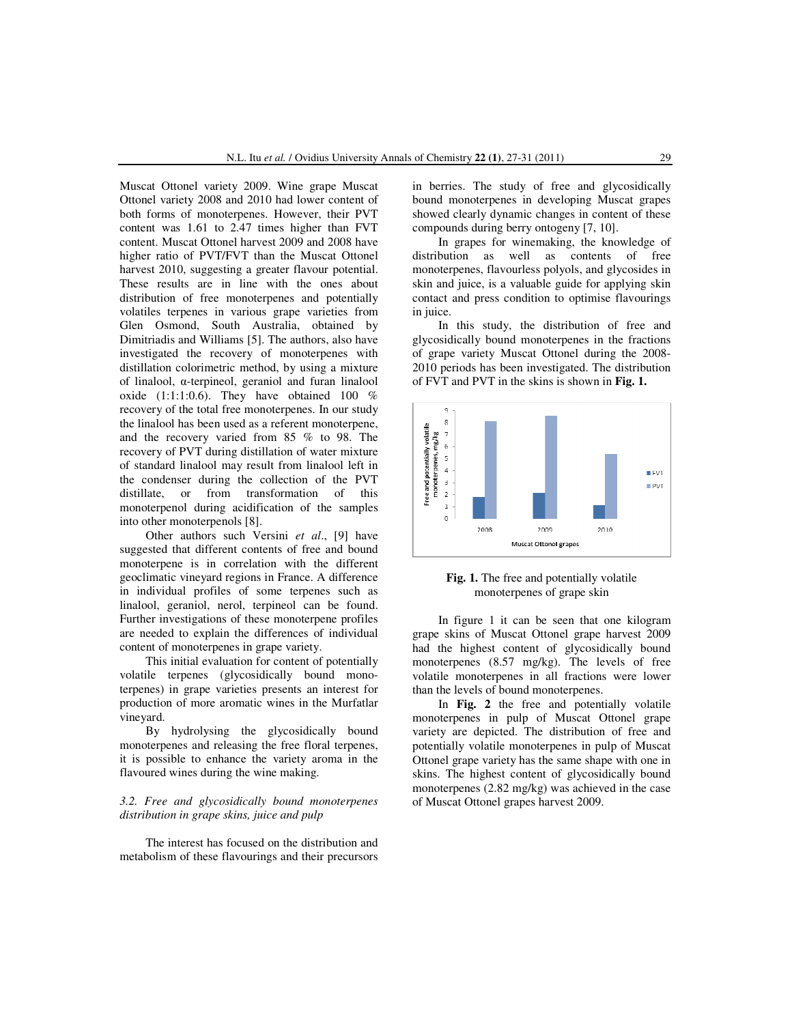Muscat Ottonel variety 2009. Wine grape Muscat Ottonel variety 2008 and 2010 had lower content of both forms of monoterpenes. However, their PVT content was 1.61 to 2.47 times higher than FVT content. Muscat Ottonel harvest 2009 and 2008 have higher ratio of PVT/FVT than the Muscat Ottonel harvest 2010, suggesting a greater flavour potential. These results are in line with the ones about distribution of free monoterpenes and potentially volatiles terpenes in various grape varieties from Glen Osmond, South Australia, obtained by Dimitriadis and Williams [5]. The authors, also have investigated the recovery of monoterpenes with distillation colorimetric method, by using a mixture of linalool, α-terpineol, geraniol and furan linalool oxide  $(1:1:1:0.6)$ . They have obtained 100 % recovery of the total free monoterpenes. In our study the linalool has been used as a referent monoterpene, and the recovery varied from 85 % to 98. The recovery of PVT during distillation of water mixture of standard linalool may result from linalool left in the condenser during the collection of the PVT distillate, or from transformation of this monoterpenol during acidification of the samples into other monoterpenols [8].

Other authors such Versini *et al*., [9] have suggested that different contents of free and bound monoterpene is in correlation with the different geoclimatic vineyard regions in France. A difference in individual profiles of some terpenes such as linalool, geraniol, nerol, terpineol can be found. Further investigations of these monoterpene profiles are needed to explain the differences of individual content of monoterpenes in grape variety.

 This initial evaluation for content of potentially volatile terpenes (glycosidically bound monoterpenes) in grape varieties presents an interest for production of more aromatic wines in the Murfatlar vineyard.

 By hydrolysing the glycosidically bound monoterpenes and releasing the free floral terpenes, it is possible to enhance the variety aroma in the flavoured wines during the wine making.

### *3.2. Free and glycosidically bound monoterpenes distribution in grape skins, juice and pulp*

 The interest has focused on the distribution and metabolism of these flavourings and their precursors

in berries. The study of free and glycosidically bound monoterpenes in developing Muscat grapes showed clearly dynamic changes in content of these compounds during berry ontogeny [7, 10].

 In grapes for winemaking, the knowledge of distribution as well as contents of free monoterpenes, flavourless polyols, and glycosides in skin and juice, is a valuable guide for applying skin contact and press condition to optimise flavourings in juice.

 In this study, the distribution of free and glycosidically bound monoterpenes in the fractions of grape variety Muscat Ottonel during the 2008- 2010 periods has been investigated. The distribution of FVT and PVT in the skins is shown in **Fig. 1.**



**Fig. 1.** The free and potentially volatile monoterpenes of grape skin

 In figure 1 it can be seen that one kilogram grape skins of Muscat Ottonel grape harvest 2009 had the highest content of glycosidically bound monoterpenes (8.57 mg/kg). The levels of free volatile monoterpenes in all fractions were lower than the levels of bound monoterpenes.

 In **Fig. 2** the free and potentially volatile monoterpenes in pulp of Muscat Ottonel grape variety are depicted. The distribution of free and potentially volatile monoterpenes in pulp of Muscat Ottonel grape variety has the same shape with one in skins. The highest content of glycosidically bound monoterpenes (2.82 mg/kg) was achieved in the case of Muscat Ottonel grapes harvest 2009.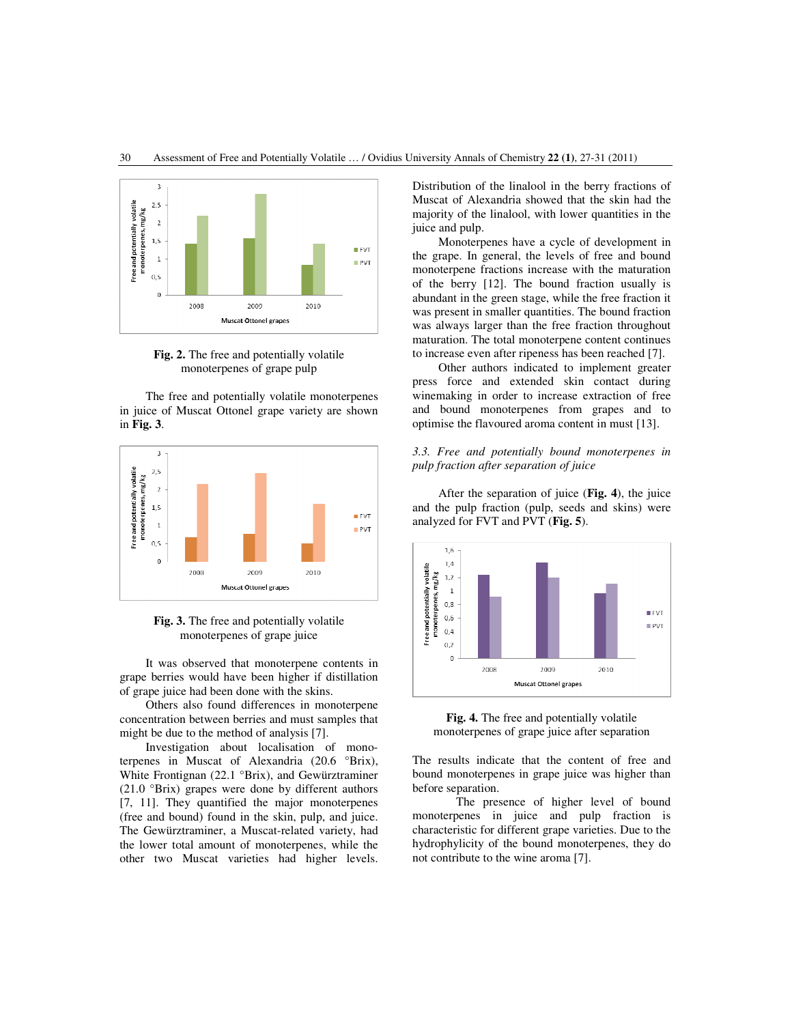

**Fig. 2.** The free and potentially volatile monoterpenes of grape pulp

 The free and potentially volatile monoterpenes in juice of Muscat Ottonel grape variety are shown in **Fig. 3**.



**Fig. 3.** The free and potentially volatile monoterpenes of grape juice

 It was observed that monoterpene contents in grape berries would have been higher if distillation of grape juice had been done with the skins.

 Others also found differences in monoterpene concentration between berries and must samples that might be due to the method of analysis [7].

 Investigation about localisation of monoterpenes in Muscat of Alexandria (20.6 °Brix), White Frontignan (22.1 °Brix), and Gewürztraminer (21.0 °Brix) grapes were done by different authors [7, 11]. They quantified the major monoterpenes (free and bound) found in the skin, pulp, and juice. The Gewürztraminer, a Muscat-related variety, had the lower total amount of monoterpenes, while the other two Muscat varieties had higher levels.

Distribution of the linalool in the berry fractions of Muscat of Alexandria showed that the skin had the majority of the linalool, with lower quantities in the juice and pulp.

 Monoterpenes have a cycle of development in the grape. In general, the levels of free and bound monoterpene fractions increase with the maturation of the berry [12]. The bound fraction usually is abundant in the green stage, while the free fraction it was present in smaller quantities. The bound fraction was always larger than the free fraction throughout maturation. The total monoterpene content continues to increase even after ripeness has been reached [7].

 Other authors indicated to implement greater press force and extended skin contact during winemaking in order to increase extraction of free and bound monoterpenes from grapes and to optimise the flavoured aroma content in must [13].

### *3.3. Free and potentially bound monoterpenes in pulp fraction after separation of juice*

 After the separation of juice (**Fig. 4**), the juice and the pulp fraction (pulp, seeds and skins) were analyzed for FVT and PVT (**Fig. 5**).



**Fig. 4.** The free and potentially volatile monoterpenes of grape juice after separation

The results indicate that the content of free and bound monoterpenes in grape juice was higher than before separation.

 The presence of higher level of bound monoterpenes in juice and pulp fraction is characteristic for different grape varieties. Due to the hydrophylicity of the bound monoterpenes, they do not contribute to the wine aroma [7].